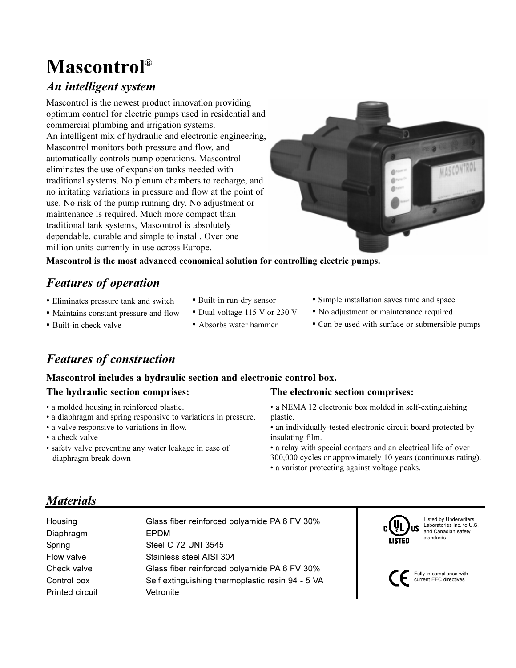# Mascontrol®

## An intelligent system

Mascontrol is the newest product innovation providing optimum control for electric pumps used in residential and commercial plumbing and irrigation systems. An intelligent mix of hydraulic and electronic engineering, Mascontrol monitors both pressure and flow, and automatically controls pump operations. Mascontrol eliminates the use of expansion tanks needed with traditional systems. No plenum chambers to recharge, and no irritating variations in pressure and flow at the point of use. No risk of the pump running dry. No adjustment or maintenance is required. Much more compact than traditional tank systems, Mascontrol is absolutely dependable, durable and simple to install. Over one million units currently in use across Europe.



Mascontrol is the most advanced economical solution for controlling electric pumps.

## Features of operation

- Eliminates pressure tank and switch
- Built-in run-dry sensor
- Maintains constant pressure and flow
- Built-in check valve
- Dual voltage 115 V or 230 V
- Absorbs water hammer
- Simple installation saves time and space
- No adjustment or maintenance required
- Can be used with surface or submersible pumps

## Features of construction

### Mascontrol includes a hydraulic section and electronic control box.

### The hydraulic section comprises:

- a molded housing in reinforced plastic.
- a diaphragm and spring responsive to variations in pressure.
- a valve responsive to variations in flow.
- a check valve
- safety valve preventing any water leakage in case of diaphragm break down

### The electronic section comprises:

- a NEMA 12 electronic box molded in self-extinguishing plastic.
- an individually-tested electronic circuit board protected by insulating film.
- a relay with special contacts and an electrical life of over 300,000 cycles or approximately 10 years (continuous rating).

to  $U.S$ 

• a varistor protecting against voltage peaks.

## **Materials**

| Housing<br>Diaphragm<br>Spring | Glass fiber reinforced polyamide PA 6 FV 30%<br><b>EPDM</b><br>Steel C 72 UNI 3545 | Listed by Underwriters<br>$_{c}(\mathsf{U}_{\mathsf{L}})$<br>Laboratories Inc. to U.<br>'us<br>and Canadian safety<br>standards<br><b>LISTED</b> |
|--------------------------------|------------------------------------------------------------------------------------|--------------------------------------------------------------------------------------------------------------------------------------------------|
| Flow valve                     | Stainless steel AISI 304                                                           |                                                                                                                                                  |
| Check valve                    | Glass fiber reinforced polyamide PA 6 FV 30%                                       |                                                                                                                                                  |
| Control box                    | Self extinguishing thermoplastic resin 94 - 5 VA                                   | Fully in compliance with<br>current EEC directives                                                                                               |
| <b>Printed circuit</b>         | Vetronite                                                                          |                                                                                                                                                  |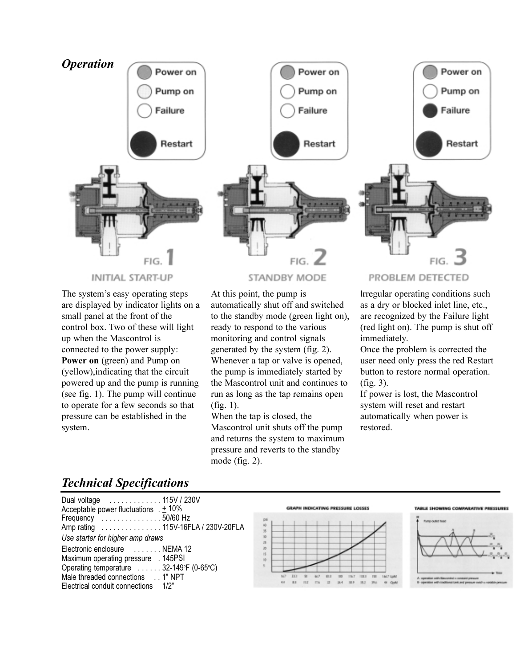

The system's easy operating steps are displayed by indicator lights on a small panel at the front of the control box. Two of these will light up when the Mascontrol is connected to the power supply: Power on (green) and Pump on (yellow),indicating that the circuit powered up and the pump is running (see fig. 1). The pump will continue to operate for a few seconds so that pressure can be established in the system.

At this point, the pump is automatically shut off and switched to the standby mode (green light on), ready to respond to the various monitoring and control signals generated by the system (fig. 2). Whenever a tap or valve is opened, the pump is immediately started by the Mascontrol unit and continues to run as long as the tap remains open (fig. 1).

When the tap is closed, the Mascontrol unit shuts off the pump and returns the system to maximum pressure and reverts to the standby mode (fig. 2).

Irregular operating conditions such as a dry or blocked inlet line, etc., are recognized by the Failure light (red light on). The pump is shut off immediately.

Once the problem is corrected the user need only press the red Restart button to restore normal operation. (fig. 3).

If power is lost, the Mascontrol system will reset and restart automatically when power is restored.

## Technical Specifications

| Dual voltage  115V / 230V<br>Acceptable power fluctuations $\pm 10\%$<br>Frequency 50/60 Hz<br>Amp rating  115V-16FLA / 230V-20FLA<br>Use starter for higher amp draws                      |  |
|---------------------------------------------------------------------------------------------------------------------------------------------------------------------------------------------|--|
| Electronic enclosure  NEMA 12<br>Maximum operating pressure . 145PSI<br>Operating temperature  32-149°F (0-65°C)<br>Male threaded connections 1" NPT<br>Electrical conduit connections 1/2" |  |



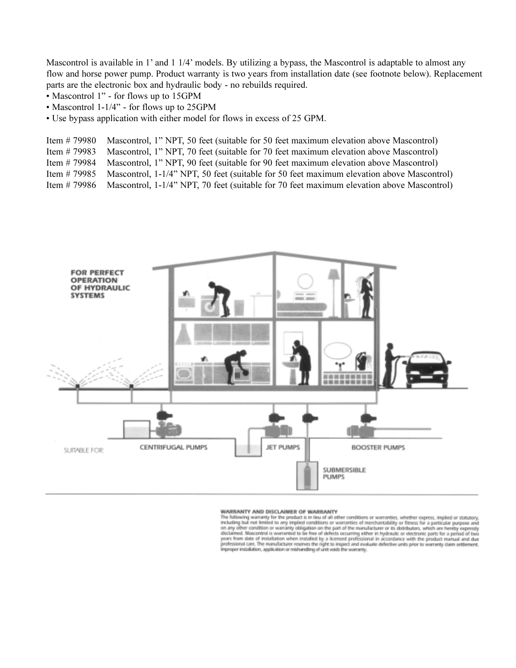Mascontrol is available in 1' and 1 1/4' models. By utilizing a bypass, the Mascontrol is adaptable to almost any flow and horse power pump. Product warranty is two years from installation date (see footnote below). Replacement parts are the electronic box and hydraulic body - no rebuilds required.

- Mascontrol 1" for flows up to 15GPM
- Mascontrol 1-1/4" for flows up to 25GPM
- Use bypass application with either model for flows in excess of 25 GPM.

Item # 79980 Mascontrol, 1" NPT, 50 feet (suitable for 50 feet maximum elevation above Mascontrol)

Item # 79983 Mascontrol, 1" NPT, 70 feet (suitable for 70 feet maximum elevation above Mascontrol)

Item # 79984 Mascontrol, 1" NPT, 90 feet (suitable for 90 feet maximum elevation above Mascontrol)

Item # 79985 Mascontrol, 1-1/4" NPT, 50 feet (suitable for 50 feet maximum elevation above Mascontrol)

Item # 79986 Mascontrol, 1-1/4" NPT, 70 feet (suitable for 70 feet maximum elevation above Mascontrol)



#### WARRANTY AND DISCLAIMER OF WARRANTY

The following warranty for the product is in lieu of all other conditions or warranties, whether express, implied or statutory,<br>including but not limited to any implied conditions or warranties of merchantability or fitnes disclaimed. Mascentrol is warranted to be free of defects occurring either in hydraulic or electronic parts for a period of two<br>years from date of installation when installed by a licensed professional in accordance with t professional care. The manufacturer reserves the right to inspect and evaluate defective units prior to warranty claim settlement.<br>Improper installation, application or mishandling of unit voids the warranty.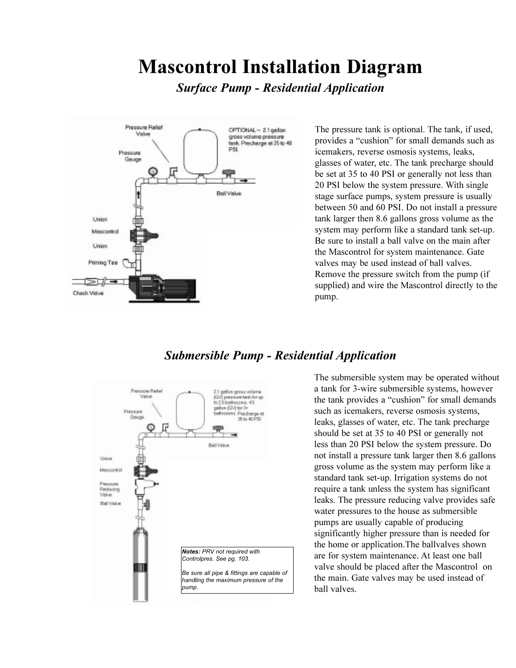# Mascontrol Installation Diagram

Surface Pump - Residential Application



The pressure tank is optional. The tank, if used, provides a "cushion" for small demands such as icemakers, reverse osmosis systems, leaks, glasses of water, etc. The tank precharge should be set at 35 to 40 PSI or generally not less than 20 PSI below the system pressure. With single stage surface pumps, system pressure is usually between 50 and 60 PSI. Do not install a pressure tank larger then 8.6 gallons gross volume as the system may perform like a standard tank set-up. Be sure to install a ball valve on the main after the Mascontrol for system maintenance. Gate valves may be used instead of ball valves. Remove the pressure switch from the pump (if supplied) and wire the Mascontrol directly to the pump.

### Submersible Pump - Residential Application



The submersible system may be operated without a tank for 3-wire submersible systems, however the tank provides a "cushion" for small demands such as icemakers, reverse osmosis systems, leaks, glasses of water, etc. The tank precharge should be set at 35 to 40 PSI or generally not less than 20 PSI below the system pressure. Do not install a pressure tank larger then 8.6 gallons gross volume as the system may perform like a standard tank set-up. Irrigation systems do not require a tank unless the system has significant leaks. The pressure reducing valve provides safe water pressures to the house as submersible pumps are usually capable of producing significantly higher pressure than is needed for the home or application.The ballvalves shown are for system maintenance. At least one ball valve should be placed after the Mascontrol on the main. Gate valves may be used instead of ball valves.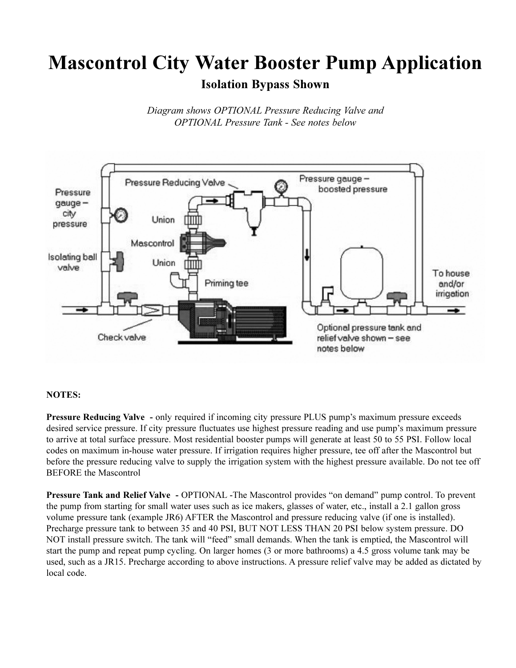# Mascontrol City Water Booster Pump Application

## Isolation Bypass Shown

Diagram shows OPTIONAL Pressure Reducing Valve and OPTIONAL Pressure Tank - See notes below



### NOTES:

Pressure Reducing Valve - only required if incoming city pressure PLUS pump's maximum pressure exceeds desired service pressure. If city pressure fluctuates use highest pressure reading and use pump's maximum pressure to arrive at total surface pressure. Most residential booster pumps will generate at least 50 to 55 PSI. Follow local codes on maximum in-house water pressure. If irrigation requires higher pressure, tee off after the Mascontrol but before the pressure reducing valve to supply the irrigation system with the highest pressure available. Do not tee off BEFORE the Mascontrol

Pressure Tank and Relief Valve - OPTIONAL -The Mascontrol provides "on demand" pump control. To prevent the pump from starting for small water uses such as ice makers, glasses of water, etc., install a 2.1 gallon gross volume pressure tank (example JR6) AFTER the Mascontrol and pressure reducing valve (if one is installed). Precharge pressure tank to between 35 and 40 PSI, BUT NOT LESS THAN 20 PSI below system pressure. DO NOT install pressure switch. The tank will "feed" small demands. When the tank is emptied, the Mascontrol will start the pump and repeat pump cycling. On larger homes (3 or more bathrooms) a 4.5 gross volume tank may be used, such as a JR15. Precharge according to above instructions. A pressure relief valve may be added as dictated by local code.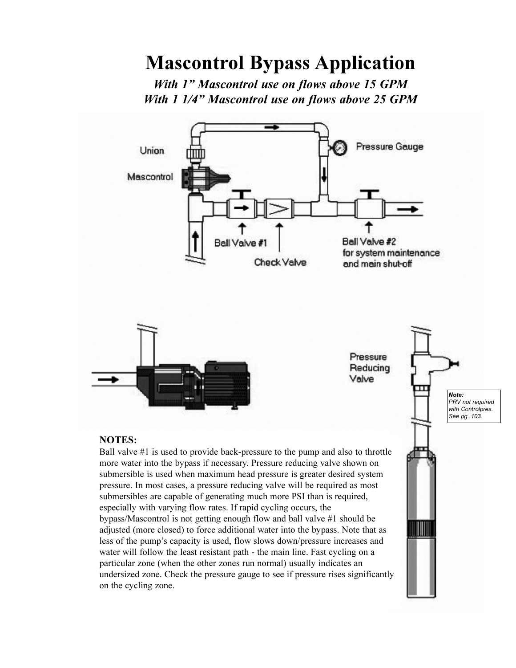# Mascontrol Bypass Application

With 1" Mascontrol use on flows above 15 GPM With 1 1/4" Mascontrol use on flows above 25 GPM